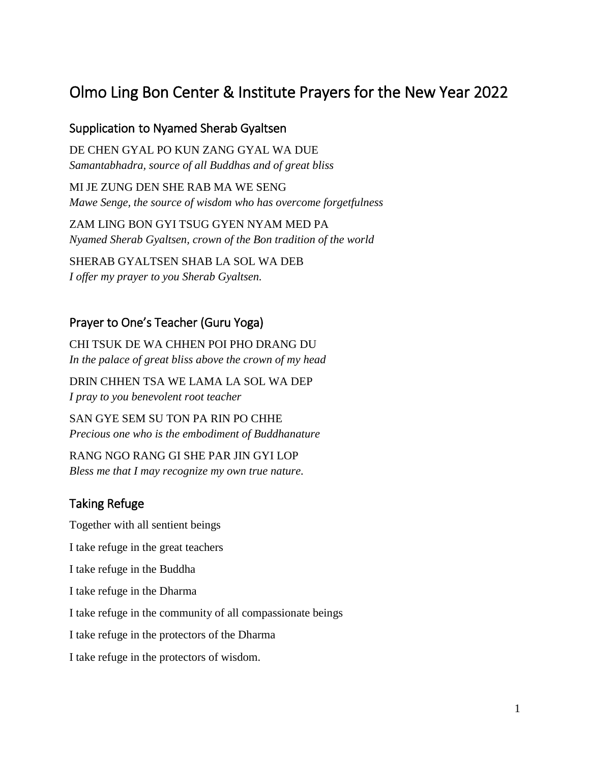# Olmo Ling Bon Center & Institute Prayers for the New Year 2022

#### Supplication to Nyamed Sherab Gyaltsen

DE CHEN GYAL PO KUN ZANG GYAL WA DUE *Samantabhadra, source of all Buddhas and of great bliss*

MI JE ZUNG DEN SHE RAB MA WE SENG *Mawe Senge, the source of wisdom who has overcome forgetfulness* 

ZAM LING BON GYI TSUG GYEN NYAM MED PA *Nyamed Sherab Gyaltsen, crown of the Bon tradition of the world*

SHERAB GYALTSEN SHAB LA SOL WA DEB *I offer my prayer to you Sherab Gyaltsen.*

#### Prayer to One's Teacher (Guru Yoga)

CHI TSUK DE WA CHHEN POI PHO DRANG DU *In the palace of great bliss above the crown of my head*

DRIN CHHEN TSA WE LAMA LA SOL WA DEP *I pray to you benevolent root teacher*

SAN GYE SEM SU TON PA RIN PO CHHE *Precious one who is the embodiment of Buddhanature*

RANG NGO RANG GI SHE PAR JIN GYI LOP *Bless me that I may recognize my own true nature.*

#### Taking Refuge

Together with all sentient beings I take refuge in the great teachers I take refuge in the Buddha I take refuge in the Dharma I take refuge in the community of all compassionate beings I take refuge in the protectors of the Dharma I take refuge in the protectors of wisdom.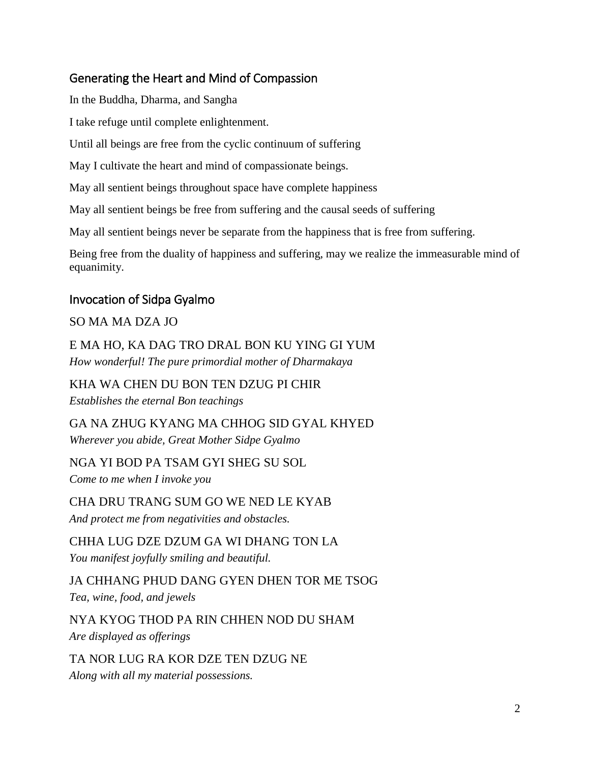# Generating the Heart and Mind of Compassion

In the Buddha, Dharma, and Sangha

I take refuge until complete enlightenment.

Until all beings are free from the cyclic continuum of suffering

May I cultivate the heart and mind of compassionate beings.

May all sentient beings throughout space have complete happiness

May all sentient beings be free from suffering and the causal seeds of suffering

May all sentient beings never be separate from the happiness that is free from suffering.

Being free from the duality of happiness and suffering, may we realize the immeasurable mind of equanimity.

### Invocation of Sidpa Gyalmo

### SO MA MA DZA JO

E MA HO, KA DAG TRO DRAL BON KU YING GI YUM *How wonderful! The pure primordial mother of Dharmakaya*

KHA WA CHEN DU BON TEN DZUG PI CHIR *Establishes the eternal Bon teachings*

GA NA ZHUG KYANG MA CHHOG SID GYAL KHYED *Wherever you abide, Great Mother Sidpe Gyalmo*

NGA YI BOD PA TSAM GYI SHEG SU SOL *Come to me when I invoke you*

CHA DRU TRANG SUM GO WE NED LE KYAB *And protect me from negativities and obstacles.*

CHHA LUG DZE DZUM GA WI DHANG TON LA *You manifest joyfully smiling and beautiful.*

JA CHHANG PHUD DANG GYEN DHEN TOR ME TSOG *Tea, wine, food, and jewels* 

NYA KYOG THOD PA RIN CHHEN NOD DU SHAM *Are displayed as offerings*

TA NOR LUG RA KOR DZE TEN DZUG NE *Along with all my material possessions.*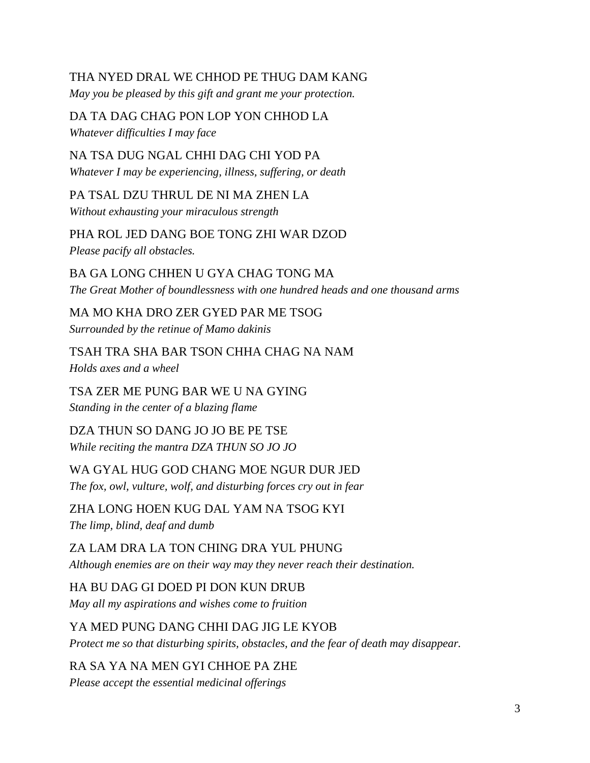### THA NYED DRAL WE CHHOD PE THUG DAM KANG

*May you be pleased by this gift and grant me your protection.*

DA TA DAG CHAG PON LOP YON CHHOD LA *Whatever difficulties I may face*

NA TSA DUG NGAL CHHI DAG CHI YOD PA *Whatever I may be experiencing, illness, suffering, or death*

PA TSAL DZU THRUL DE NI MA ZHEN LA *Without exhausting your miraculous strength*

PHA ROL JED DANG BOE TONG ZHI WAR DZOD *Please pacify all obstacles.*

BA GA LONG CHHEN U GYA CHAG TONG MA *The Great Mother of boundlessness with one hundred heads and one thousand arms*

MA MO KHA DRO ZER GYED PAR ME TSOG *Surrounded by the retinue of Mamo dakinis*

TSAH TRA SHA BAR TSON CHHA CHAG NA NAM *Holds axes and a wheel*

TSA ZER ME PUNG BAR WE U NA GYING *Standing in the center of a blazing flame*

DZA THUN SO DANG JO JO BE PE TSE *While reciting the mantra DZA THUN SO JO JO* 

WA GYAL HUG GOD CHANG MOE NGUR DUR JED *The fox, owl, vulture, wolf, and disturbing forces cry out in fear*

ZHA LONG HOEN KUG DAL YAM NA TSOG KYI *The limp, blind, deaf and dumb*

ZA LAM DRA LA TON CHING DRA YUL PHUNG *Although enemies are on their way may they never reach their destination.*

HA BU DAG GI DOED PI DON KUN DRUB *May all my aspirations and wishes come to fruition*

YA MED PUNG DANG CHHI DAG JIG LE KYOB *Protect me so that disturbing spirits, obstacles, and the fear of death may disappear.*

RA SA YA NA MEN GYI CHHOE PA ZHE

*Please accept the essential medicinal offerings*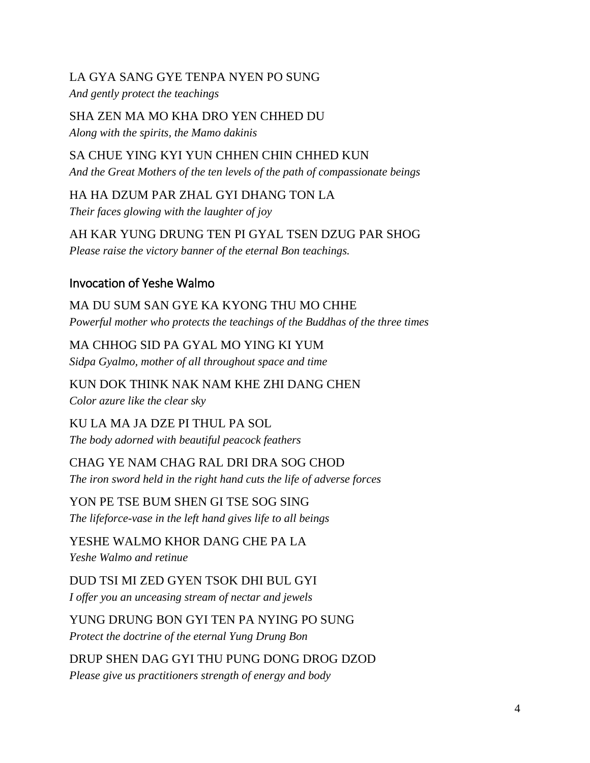#### LA GYA SANG GYE TENPA NYEN PO SUNG

*And gently protect the teachings*

SHA ZEN MA MO KHA DRO YEN CHHED DU *Along with the spirits, the Mamo dakinis*

SA CHUE YING KYI YUN CHHEN CHIN CHHED KUN *And the Great Mothers of the ten levels of the path of compassionate beings*

HA HA DZUM PAR ZHAL GYI DHANG TON LA *Their faces glowing with the laughter of joy*

AH KAR YUNG DRUNG TEN PI GYAL TSEN DZUG PAR SHOG *Please raise the victory banner of the eternal Bon teachings.*

# Invocation of Yeshe Walmo

MA DU SUM SAN GYE KA KYONG THU MO CHHE *Powerful mother who protects the teachings of the Buddhas of the three times*

MA CHHOG SID PA GYAL MO YING KI YUM *Sidpa Gyalmo, mother of all throughout space and time*

KUN DOK THINK NAK NAM KHE ZHI DANG CHEN *Color azure like the clear sky*

KU LA MA JA DZE PI THUL PA SOL *The body adorned with beautiful peacock feathers*

CHAG YE NAM CHAG RAL DRI DRA SOG CHOD *The iron sword held in the right hand cuts the life of adverse forces*

YON PE TSE BUM SHEN GI TSE SOG SING *The lifeforce-vase in the left hand gives life to all beings*

YESHE WALMO KHOR DANG CHE PA LA *Yeshe Walmo and retinue*

DUD TSI MI ZED GYEN TSOK DHI BUL GYI *I offer you an unceasing stream of nectar and jewels*

YUNG DRUNG BON GYI TEN PA NYING PO SUNG *Protect the doctrine of the eternal Yung Drung Bon* 

DRUP SHEN DAG GYI THU PUNG DONG DROG DZOD *Please give us practitioners strength of energy and body*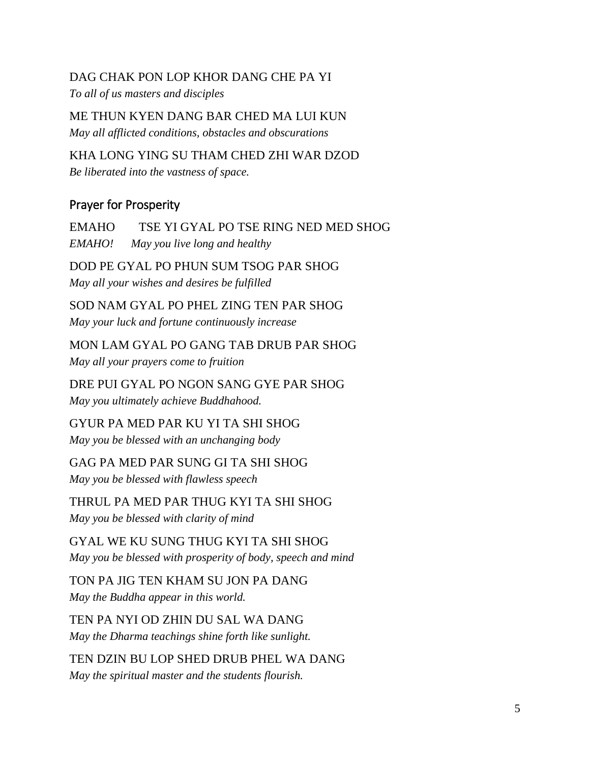#### DAG CHAK PON LOP KHOR DANG CHE PA YI

*To all of us masters and disciples*

ME THUN KYEN DANG BAR CHED MA LUI KUN *May all afflicted conditions, obstacles and obscurations*

KHA LONG YING SU THAM CHED ZHI WAR DZOD *Be liberated into the vastness of space.*

#### Prayer for Prosperity

EMAHO TSE YI GYAL PO TSE RING NED MED SHOG *EMAHO! May you live long and healthy*

DOD PE GYAL PO PHUN SUM TSOG PAR SHOG *May all your wishes and desires be fulfilled*

SOD NAM GYAL PO PHEL ZING TEN PAR SHOG *May your luck and fortune continuously increase*

MON LAM GYAL PO GANG TAB DRUB PAR SHOG *May all your prayers come to fruition*

DRE PUI GYAL PO NGON SANG GYE PAR SHOG *May you ultimately achieve Buddhahood.* 

GYUR PA MED PAR KU YI TA SHI SHOG *May you be blessed with an unchanging body* 

GAG PA MED PAR SUNG GI TA SHI SHOG *May you be blessed with flawless speech*

THRUL PA MED PAR THUG KYI TA SHI SHOG *May you be blessed with clarity of mind*

GYAL WE KU SUNG THUG KYI TA SHI SHOG *May you be blessed with prosperity of body, speech and mind*

TON PA JIG TEN KHAM SU JON PA DANG *May the Buddha appear in this world.*

TEN PA NYI OD ZHIN DU SAL WA DANG *May the Dharma teachings shine forth like sunlight.*

TEN DZIN BU LOP SHED DRUB PHEL WA DANG *May the spiritual master and the students flourish.*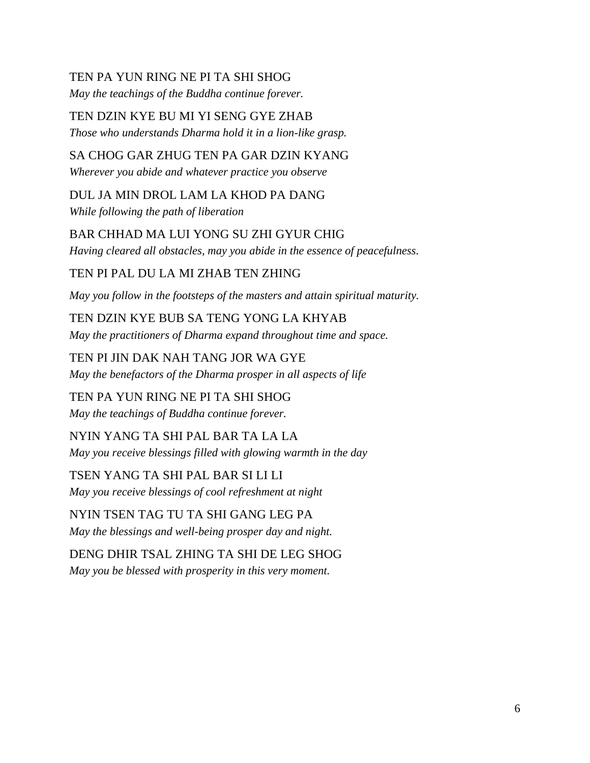#### TEN PA YUN RING NE PI TA SHI SHOG

*May the teachings of the Buddha continue forever.*

TEN DZIN KYE BU MI YI SENG GYE ZHAB

*Those who understands Dharma hold it in a lion-like grasp.*

### SA CHOG GAR ZHUG TEN PA GAR DZIN KYANG

*Wherever you abide and whatever practice you observe*

DUL JA MIN DROL LAM LA KHOD PA DANG *While following the path of liberation*

BAR CHHAD MA LUI YONG SU ZHI GYUR CHIG *Having cleared all obstacles, may you abide in the essence of peacefulness.*

TEN PI PAL DU LA MI ZHAB TEN ZHING

*May you follow in the footsteps of the masters and attain spiritual maturity.*

TEN DZIN KYE BUB SA TENG YONG LA KHYAB *May the practitioners of Dharma expand throughout time and space.*

TEN PI JIN DAK NAH TANG JOR WA GYE *May the benefactors of the Dharma prosper in all aspects of life*

TEN PA YUN RING NE PI TA SHI SHOG *May the teachings of Buddha continue forever.*

NYIN YANG TA SHI PAL BAR TA LA LA *May you receive blessings filled with glowing warmth in the day*

TSEN YANG TA SHI PAL BAR SI LI LI *May you receive blessings of cool refreshment at night*

NYIN TSEN TAG TU TA SHI GANG LEG PA *May the blessings and well-being prosper day and night.*

DENG DHIR TSAL ZHING TA SHI DE LEG SHOG *May you be blessed with prosperity in this very moment.*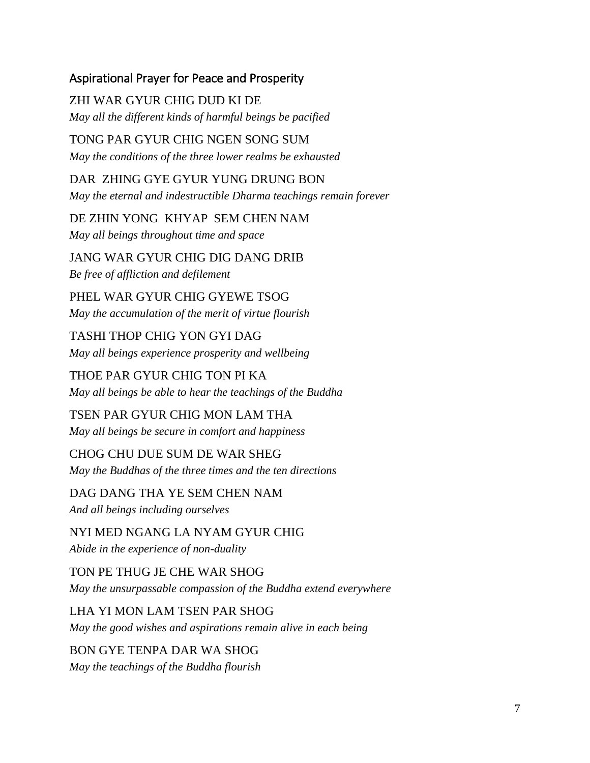### Aspirational Prayer for Peace and Prosperity

ZHI WAR GYUR CHIG DUD KI DE *May all the different kinds of harmful beings be pacified*

TONG PAR GYUR CHIG NGEN SONG SUM *May the conditions of the three lower realms be exhausted*

DAR ZHING GYE GYUR YUNG DRUNG BON *May the eternal and indestructible Dharma teachings remain forever*

DE ZHIN YONG KHYAP SEM CHEN NAM *May all beings throughout time and space* 

JANG WAR GYUR CHIG DIG DANG DRIB *Be free of affliction and defilement*

PHEL WAR GYUR CHIG GYEWE TSOG *May the accumulation of the merit of virtue flourish*

TASHI THOP CHIG YON GYI DAG *May all beings experience prosperity and wellbeing*

THOE PAR GYUR CHIG TON PI KA *May all beings be able to hear the teachings of the Buddha*

TSEN PAR GYUR CHIG MON LAM THA *May all beings be secure in comfort and happiness*

CHOG CHU DUE SUM DE WAR SHEG *May the Buddhas of the three times and the ten directions*

DAG DANG THA YE SEM CHEN NAM *And all beings including ourselves*

NYI MED NGANG LA NYAM GYUR CHIG *Abide in the experience of non-duality*

TON PE THUG JE CHE WAR SHOG *May the unsurpassable compassion of the Buddha extend everywhere*

LHA YI MON LAM TSEN PAR SHOG *May the good wishes and aspirations remain alive in each being*

BON GYE TENPA DAR WA SHOG *May the teachings of the Buddha flourish*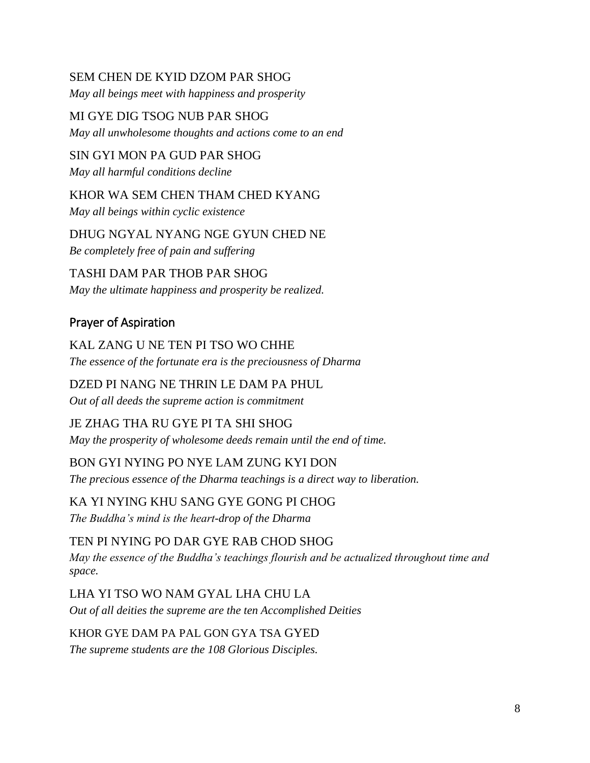#### SEM CHEN DE KYID DZOM PAR SHOG

*May all beings meet with happiness and prosperity*

MI GYE DIG TSOG NUB PAR SHOG *May all unwholesome thoughts and actions come to an end*

SIN GYI MON PA GUD PAR SHOG *May all harmful conditions decline*

KHOR WA SEM CHEN THAM CHED KYANG *May all beings within cyclic existence*

DHUG NGYAL NYANG NGE GYUN CHED NE *Be completely free of pain and suffering*

TASHI DAM PAR THOB PAR SHOG *May the ultimate happiness and prosperity be realized.*

# Prayer of Aspiration

KAL ZANG U NE TEN PI TSO WO CHHE *The essence of the fortunate era is the preciousness of Dharma*

# DZED PI NANG NE THRIN LE DAM PA PHUL

*Out of all deeds the supreme action is commitment* 

### JE ZHAG THA RU GYE PI TA SHI SHOG

*May the prosperity of wholesome deeds remain until the end of time.*

### BON GYI NYING PO NYE LAM ZUNG KYI DON

*The precious essence of the Dharma teachings is a direct way to liberation.*

#### KA YI NYING KHU SANG GYE GONG PI CHOG *The Buddha's mind is the heart-drop of the Dharma*

TEN PI NYING PO DAR GYE RAB CHOD SHOG *May the essence of the Buddha's teachings flourish and be actualized throughout time and space.*

LHA YI TSO WO NAM GYAL LHA CHU LA *Out of all deities the supreme are the ten Accomplished Deities*

## KHOR GYE DAM PA PAL GON GYA TSA GYED *The supreme students are the 108 Glorious Disciples.*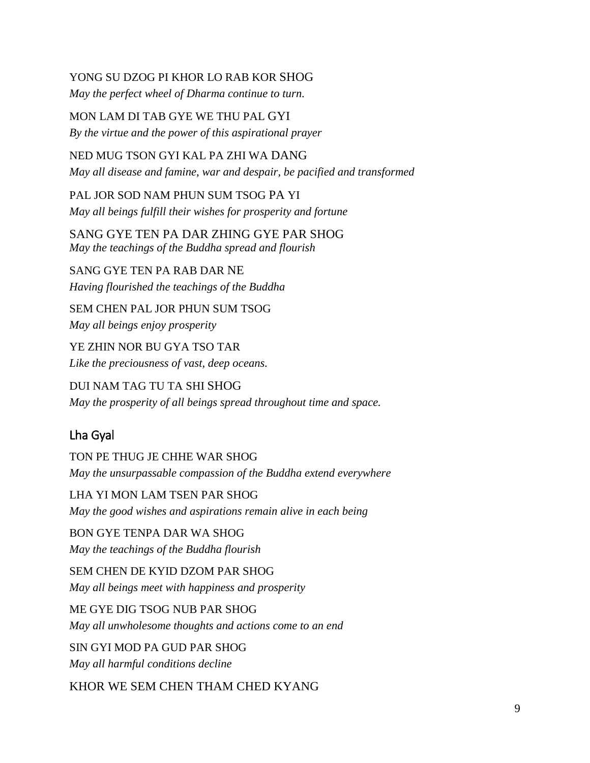#### YONG SU DZOG PI KHOR LO RAB KOR SHOG

*May the perfect wheel of Dharma continue to turn.*

MON LAM DI TAB GYE WE THU PAL GYI *By the virtue and the power of this aspirational prayer*

NED MUG TSON GYI KAL PA ZHI WA DANG *May all disease and famine, war and despair, be pacified and transformed*

PAL JOR SOD NAM PHUN SUM TSOG PA YI *May all beings fulfill their wishes for prosperity and fortune*

SANG GYE TEN PA DAR ZHING GYE PAR SHOG *May the teachings of the Buddha spread and flourish*

SANG GYE TEN PA RAB DAR NE *Having flourished the teachings of the Buddha* 

SEM CHEN PAL JOR PHUN SUM TSOG *May all beings enjoy prosperity* 

YE ZHIN NOR BU GYA TSO TAR *Like the preciousness of vast, deep oceans.* 

DUI NAM TAG TU TA SHI SHOG *May the prosperity of all beings spread throughout time and space.*

# Lha Gyal

TON PE THUG JE CHHE WAR SHOG *May the unsurpassable compassion of the Buddha extend everywhere*

LHA YI MON LAM TSEN PAR SHOG *May the good wishes and aspirations remain alive in each being*

BON GYE TENPA DAR WA SHOG *May the teachings of the Buddha flourish*

SEM CHEN DE KYID DZOM PAR SHOG *May all beings meet with happiness and prosperity*

ME GYE DIG TSOG NUB PAR SHOG *May all unwholesome thoughts and actions come to an end*

SIN GYI MOD PA GUD PAR SHOG *May all harmful conditions decline*

KHOR WE SEM CHEN THAM CHED KYANG